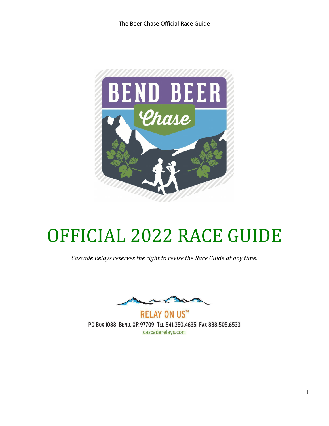

## OFFICIAL 2022 RACE GUIDE

*Cascade Relays reserves the right to revise the Race Guide at any time.*

**RELAY ON US™** PO BOX 1088 BEND, OR 97709 TEL 541.350.4635 FAX 888.505.6533 cascaderelays.com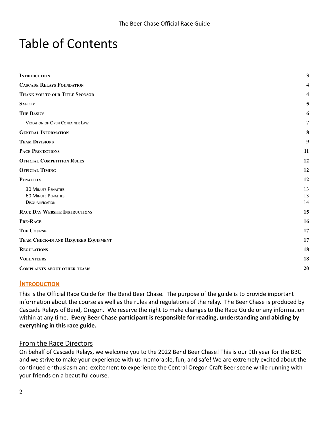## Table of Contents

| <b>INTRODUCTION</b>                                                                 | 3              |
|-------------------------------------------------------------------------------------|----------------|
| <b>CASCADE RELAYS FOUNDATION</b>                                                    |                |
| THANK YOU TO OUR TITLE SPONSOR                                                      |                |
| <b>SAFETY</b>                                                                       | 5              |
| <b>THE BASICS</b>                                                                   | 6              |
| <b>VIOLATION OF OPEN CONTAINER LAW</b>                                              | 7              |
| <b>GENERAL INFORMATION</b>                                                          | 8              |
| <b>TEAM DIVISIONS</b>                                                               | 9              |
| <b>PACE PROJECTIONS</b>                                                             | 11             |
| <b>OFFICIAL COMPETITION RULES</b>                                                   | 12             |
| <b>OFFICIAL TIMING</b>                                                              | 12             |
| <b>PENALTIES</b>                                                                    | 12             |
| <b>30 MINUTE PENALTIES</b><br><b>60 MINUTE PENALTIES</b><br><b>DISQUALIFICATION</b> | 13<br>13<br>14 |
| <b>RACE DAY WEBSITE INSTRUCTIONS</b>                                                | 15             |
| PRE-RACE                                                                            | 16             |
| <b>THE COURSE</b>                                                                   | 17             |
| TEAM CHECK-IN AND REQUIRED EQUIPMENT                                                | 17             |
| <b>REGULATIONS</b>                                                                  | 18             |
| <b>VOLUNTEERS</b>                                                                   | 18             |
| <b>COMPLAINTS ABOUT OTHER TEAMS</b>                                                 | 20             |
|                                                                                     |                |

#### <span id="page-1-0"></span>**INTRODUCTION**

This is the Official Race Guide for The Bend Beer Chase. The purpose of the guide is to provide important information about the course as well as the rules and regulations of the relay. The Beer Chase is produced by Cascade Relays of Bend, Oregon. We reserve the right to make changes to the Race Guide or any information within at any time. **Every Beer Chase participant is responsible for reading, understanding and abiding by everything in this race guide.**

#### From the Race Directors

On behalf of Cascade Relays, we welcome you to the 2022 Bend Beer Chase! This is our 9th year for the BBC and we strive to make your experience with us memorable, fun, and safe! We are extremely excited about the continued enthusiasm and excitement to experience the Central Oregon Craft Beer scene while running with your friends on a beautiful course.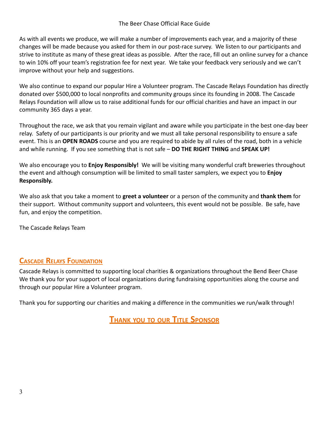#### The Beer Chase Official Race Guide

As with all events we produce, we will make a number of improvements each year, and a majority of these changes will be made because you asked for them in our post-race survey. We listen to our participants and strive to institute as many of these great ideas as possible. After the race, fill out an online survey for a chance to win 10% off your team's registration fee for next year. We take your feedback very seriously and we can't improve without your help and suggestions.

We also continue to expand our popular Hire a Volunteer program. The Cascade Relays Foundation has directly donated over \$500,000 to local nonprofits and community groups since its founding in 2008. The Cascade Relays Foundation will allow us to raise additional funds for our official charities and have an impact in our community 365 days a year.

Throughout the race, we ask that you remain vigilant and aware while you participate in the best one-day beer relay. Safety of our participants is our priority and we must all take personal responsibility to ensure a safe event. This is an **OPEN ROADS** course and you are required to abide by all rules of the road, both in a vehicle and while running. If you see something that is not safe – **DO THE RIGHT THING** and **SPEAK UP!**

We also encourage you to **Enjoy Responsibly!** We will be visiting many wonderful craft breweries throughout the event and although consumption will be limited to small taster samplers, we expect you to **Enjoy Responsibly.**

We also ask that you take a moment to **greet a volunteer** or a person of the community and **thank them** for their support. Without community support and volunteers, this event would not be possible. Be safe, have fun, and enjoy the competition.

<span id="page-2-0"></span>The Cascade Relays Team

#### **CASCADE RELAYS FOUNDATION**

Cascade Relays is committed to supporting local charities & organizations throughout the Bend Beer Chase We thank you for your support of local organizations during fundraising opportunities along the course and through our popular Hire a Volunteer program.

<span id="page-2-1"></span>Thank you for supporting our charities and making a difference in the communities we run/walk through!

**THANK YOU TO OUR TITLE SPONSOR**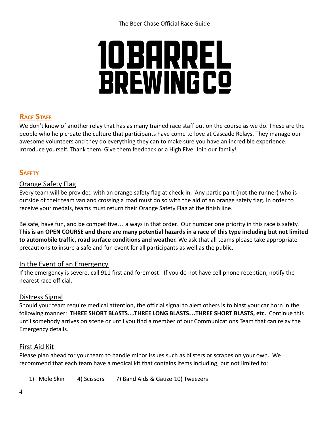# 10 BARREL **BREWINGCO**

#### **RACE STAFF**

We don't know of another relay that has as many trained race staff out on the course as we do. These are the people who help create the culture that participants have come to love at Cascade Relays. They manage our awesome volunteers and they do everything they can to make sure you have an incredible experience. Introduce yourself. Thank them. Give them feedback or a High Five. Join our family!

#### <span id="page-3-0"></span>**SAFETY**

#### Orange Safety Flag

Every team will be provided with an orange safety flag at check-in. Any participant (not the runner) who is outside of their team van and crossing a road must do so with the aid of an orange safety flag. In order to receive your medals, teams must return their Orange Safety Flag at the finish line.

Be safe, have fun, and be competitive… always in that order. Our number one priority in this race is safety. **This is an OPEN COURSE and there are many potential hazards in a race of this type including but not limited to automobile traffic, road surface conditions and weather.** We ask that all teams please take appropriate precautions to insure a safe and fun event for all participants as well as the public.

#### In the Event of an Emergency

If the emergency is severe, call 911 first and foremost! If you do not have cell phone reception, notify the nearest race official.

#### Distress Signal

Should your team require medical attention, the official signal to alert others is to blast your car horn in the following manner: **THREE SHORT BLASTS…THREE LONG BLASTS…THREE SHORT BLASTS, etc.** Continue this until somebody arrives on scene or until you find a member of our Communications Team that can relay the Emergency details.

#### First Aid Kit

Please plan ahead for your team to handle minor issues such as blisters or scrapes on your own. We recommend that each team have a medical kit that contains items including, but not limited to:

1) Mole Skin 4) Scissors 7) Band Aids & Gauze 10) Tweezers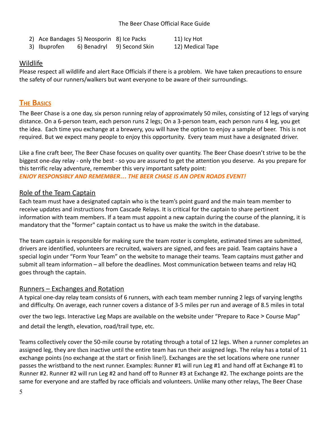2) Ace Bandages 5) Neosporin 8) Ice Packs 11) Icy Hot

3) Ibuprofen 6) Benadryl 9) Second Skin 12) Medical Tape

#### Wildlife

Please respect all wildlife and alert Race Officials if there is a problem. We have taken precautions to ensure the safety of our runners/walkers but want everyone to be aware of their surroundings.

#### <span id="page-4-0"></span>**THE BASICS**

The Beer Chase is a one day, six person running relay of approximately 50 miles, consisting of 12 legs of varying distance. On a 6-person team, each person runs 2 legs; On a 3-person team, each person runs 4 leg, you get the idea. Each time you exchange at a brewery, you will have the option to enjoy a sample of beer. This is not required. But we expect many people to enjoy this opportunity. Every team must have a designated driver.

Like a fine craft beer, The Beer Chase focuses on quality over quantity. The Beer Chase doesn't strive to be the biggest one-day relay - only the best - so you are assured to get the attention you deserve. As you prepare for this terrific relay adventure, remember this very important safety point: *ENJOY RESPONSIBLY AND REMEMBER… THE BEER CHASE IS AN OPEN ROADS EVENT!*

#### Role of the Team Captain

Each team must have a designated captain who is the team's point guard and the main team member to receive updates and instructions from Cascade Relays. It is critical for the captain to share pertinent information with team members. If a team must appoint a new captain during the course of the planning, it is mandatory that the "former" captain contact us to have us make the switch in the database.

The team captain is responsible for making sure the team roster is complete, estimated times are submitted, drivers are identified, volunteers are recruited, waivers are signed, and fees are paid. Team captains have a special login under "Form Your Team" on the website to manage their teams. Team captains must gather and submit all team information – all before the deadlines. Most communication between teams and relay HQ goes through the captain.

#### Runners – Exchanges and Rotation

A typical one-day relay team consists of 6 runners, with each team member running 2 legs of varying lengths and difficulty. On average, each runner covers a distance of 3-5 miles per run and average of 8.5 miles in total

over the two legs. Interactive Leg Maps are available on the website under "Prepare to Race > Course Map" and detail the length, elevation, road/trail type, etc.

Teams collectively cover the 50-mile course by rotating through a total of 12 legs. When a runner completes an assigned leg, they are then inactive until the entire team has run their assigned legs. The relay has a total of 11 exchange points (no exchange at the start or finish line!). Exchanges are the set locations where one runner passes the wristband to the next runner. Examples: Runner #1 will run Leg #1 and hand off at Exchange #1 to Runner #2. Runner #2 will run Leg #2 and hand off to Runner #3 at Exchange #2. The exchange points are the same for everyone and are staffed by race officials and volunteers. Unlike many other relays, The Beer Chase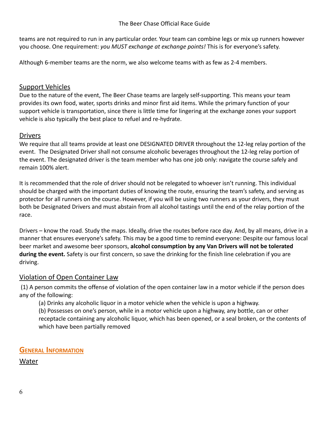teams are not required to run in any particular order. Your team can combine legs or mix up runners however you choose. One requirement: *you MUST exchange at exchange points!* This is for everyone's safety.

Although 6-member teams are the norm, we also welcome teams with as few as 2-4 members.

#### Support Vehicles

Due to the nature of the event, The Beer Chase teams are largely self-supporting. This means your team provides its own food, water, sports drinks and minor first aid items. While the primary function of your support vehicle is transportation, since there is little time for lingering at the exchange zones your support vehicle is also typically the best place to refuel and re-hydrate.

#### **Drivers**

We require that all teams provide at least one DESIGNATED DRIVER throughout the 12-leg relay portion of the event. The Designated Driver shall not consume alcoholic beverages throughout the 12-leg relay portion of the event. The designated driver is the team member who has one job only: navigate the course safely and remain 100% alert.

It is recommended that the role of driver should not be relegated to whoever isn't running. This individual should be charged with the important duties of knowing the route, ensuring the team's safety, and serving as protector for all runners on the course. However, if you will be using two runners as your drivers, they must both be Designated Drivers and must abstain from all alcohol tastings until the end of the relay portion of the race.

Drivers – know the road. Study the maps. Ideally, drive the routes before race day. And, by all means, drive in a manner that ensures everyone's safety. This may be a good time to remind everyone: Despite our famous local beer market and awesome beer sponsors, **alcohol consumption by any Van Drivers will not be tolerated during the event.** Safety is our first concern, so save the drinking for the finish line celebration if you are driving.

#### <span id="page-5-0"></span>Violation of Open Container Law

(1) A person commits the offense of violation of the open container law in a motor vehicle if the person does any of the following:

(a) Drinks any alcoholic liquor in a motor vehicle when the vehicle is upon a highway.

(b) Possesses on one's person, while in a motor vehicle upon a highway, any bottle, can or other receptacle containing any alcoholic liquor, which has been opened, or a seal broken, or the contents of which have been partially removed

#### <span id="page-5-1"></span>**GENERAL INFORMATION**

Water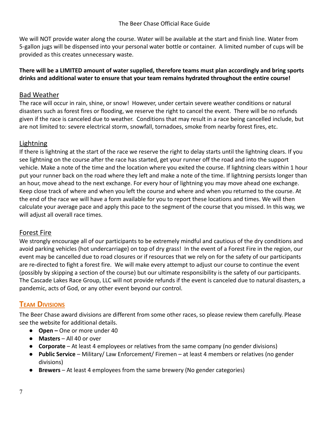We will NOT provide water along the course. Water will be available at the start and finish line. Water from 5-gallon jugs will be dispensed into your personal water bottle or container. A limited number of cups will be provided as this creates unnecessary waste.

#### **There will be a LIMITED amount of water supplied, therefore teams must plan accordingly and bring sports drinks and additional water to ensure that your team remains hydrated throughout the entire course!**

#### Bad Weather

The race will occur in rain, shine, or snow! However, under certain severe weather conditions or natural disasters such as forest fires or flooding, we reserve the right to cancel the event. There will be no refunds given if the race is canceled due to weather. Conditions that may result in a race being cancelled include, but are not limited to: severe electrical storm, snowfall, tornadoes, smoke from nearby forest fires, etc.

#### Lightning

If there is lightning at the start of the race we reserve the right to delay starts until the lightning clears. If you see lightning on the course after the race has started, get your runner off the road and into the support vehicle. Make a note of the time and the location where you exited the course. If lightning clears within 1 hour put your runner back on the road where they left and make a note of the time. If lightning persists longer than an hour, move ahead to the next exchange. For every hour of lightning you may move ahead one exchange. Keep close track of where and when you left the course and where and when you returned to the course. At the end of the race we will have a form available for you to report these locations and times. We will then calculate your average pace and apply this pace to the segment of the course that you missed. In this way, we will adjust all overall race times.

#### Forest Fire

We strongly encourage all of our participants to be extremely mindful and cautious of the dry conditions and avoid parking vehicles (hot undercarriage) on top of dry grass! In the event of a Forest Fire in the region, our event may be cancelled due to road closures or if resources that we rely on for the safety of our participants are re-directed to fight a forest fire. We will make every attempt to adjust our course to continue the event (possibly by skipping a section of the course) but our ultimate responsibility is the safety of our participants. The Cascade Lakes Race Group, LLC will not provide refunds if the event is canceled due to natural disasters, a pandemic, acts of God, or any other event beyond our control.

#### <span id="page-6-0"></span>**TEAM DIVISIONS**

The Beer Chase award divisions are different from some other races, so please review them carefully. Please see the website for additional details.

- **Open –** One or more under 40
- **Masters** All 40 or over
- **Corporate** At least 4 employees or relatives from the same company (no gender divisions)
- **Public Service** Military/ Law Enforcement/ Firemen at least 4 members or relatives (no gender divisions)
- **● Brewers** At least 4 employees from the same brewery (No gender categories)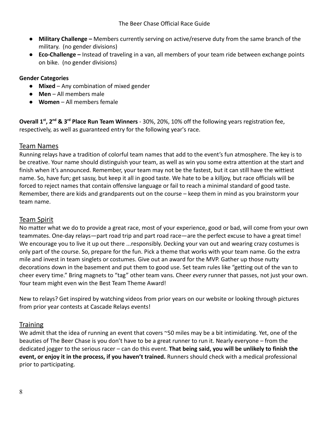- **● Military Challenge –** Members currently serving on active/reserve duty from the same branch of the military. (no gender divisions)
- **● Eco-Challenge –** Instead of traveling in a van, all members of your team ride between exchange points on bike. (no gender divisions)

#### **Gender Categories**

- **Mixed** Any combination of mixed gender
- **Men** All members male
- **Women** All members female

**Overall 1 st , 2nd & 3rd Place Run Team Winners** - 30%, 20%, 10% off the following years registration fee, respectively, as well as guaranteed entry for the following year's race.

#### Team Names

Running relays have a tradition of colorful team names that add to the event's fun atmosphere. The key is to be creative. Your name should distinguish your team, as well as win you some extra attention at the start and finish when it's announced. Remember, your team may not be the fastest, but it can still have the wittiest name. So, have fun; get sassy, but keep it all in good taste. We hate to be a killjoy, but race officials will be forced to reject names that contain offensive language or fail to reach a minimal standard of good taste. Remember, there are kids and grandparents out on the course – keep them in mind as you brainstorm your team name.

#### Team Spirit

No matter what we do to provide a great race, most of your experience, good or bad, will come from your own teammates. One-day relays—part road trip and part road race—are the perfect excuse to have a great time! We encourage you to live it up out there ...responsibly. Decking your van out and wearing crazy costumes is only part of the course. So, prepare for the fun. Pick a theme that works with your team name. Go the extra mile and invest in team singlets or costumes. Give out an award for the MVP. Gather up those nutty decorations down in the basement and put them to good use. Set team rules like "getting out of the van to cheer every time." Bring magnets to "tag" other team vans. Cheer *every* runner that passes, not just your own. Your team might even win the Best Team Theme Award!

New to relays? Get inspired by watching videos from prior years on our website or looking through pictures from prior year contests at Cascade Relays events!

#### **Training**

We admit that the idea of running an event that covers ~50 miles may be a bit intimidating. Yet, one of the beauties of The Beer Chase is you don't have to be a great runner to run it. Nearly everyone – from the dedicated jogger to the serious racer – can do this event. **That being said, you will be unlikely to finish the event, or enjoy it in the process, if you haven't trained.** Runners should check with a medical professional prior to participating.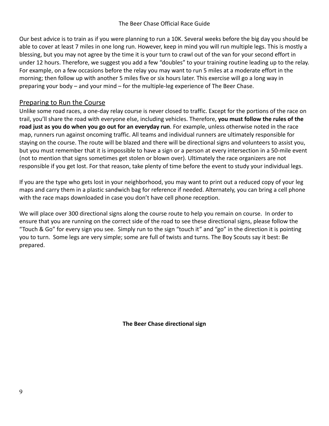Our best advice is to train as if you were planning to run a 10K. Several weeks before the big day you should be able to cover at least 7 miles in one long run. However, keep in mind you will run multiple legs. This is mostly a blessing, but you may not agree by the time it is your turn to crawl out of the van for your second effort in under 12 hours. Therefore, we suggest you add a few "doubles" to your training routine leading up to the relay. For example, on a few occasions before the relay you may want to run 5 miles at a moderate effort in the morning; then follow up with another 5 miles five or six hours later. This exercise will go a long way in preparing your body – and your mind – for the multiple-leg experience of The Beer Chase.

#### Preparing to Run the Course

Unlike some road races, a one-day relay course is never closed to traffic. Except for the portions of the race on trail, you'll share the road with everyone else, including vehicles. Therefore, **you must follow the rules of the road just as you do when you go out for an everyday run**. For example, unless otherwise noted in the race map, runners run against oncoming traffic. All teams and individual runners are ultimately responsible for staying on the course. The route will be blazed and there will be directional signs and volunteers to assist you, but you must remember that it is impossible to have a sign or a person at every intersection in a 50-mile event (not to mention that signs sometimes get stolen or blown over). Ultimately the race organizers are not responsible if you get lost. For that reason, take plenty of time before the event to study your individual legs.

If you are the type who gets lost in your neighborhood, you may want to print out a reduced copy of your leg maps and carry them in a plastic sandwich bag for reference if needed. Alternately, you can bring a cell phone with the race maps downloaded in case you don't have cell phone reception.

We will place over 300 directional signs along the course route to help you remain on course. In order to ensure that you are running on the correct side of the road to see these directional signs, please follow the "Touch & Go" for every sign you see. Simply run to the sign "touch it" and "go" in the direction it is pointing you to turn. Some legs are very simple; some are full of twists and turns. The Boy Scouts say it best: Be prepared.

**The Beer Chase directional sign**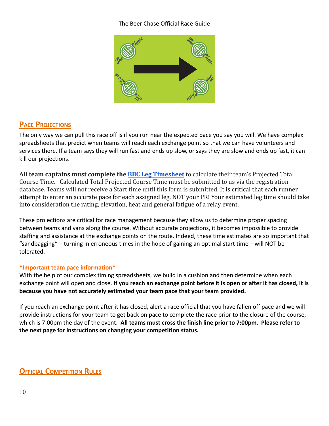#### The Beer Chase Official Race Guide



#### <span id="page-9-0"></span>**PACE PROJECTIONS**

The only way we can pull this race off is if you run near the expected pace you say you will. We have complex spreadsheets that predict when teams will reach each exchange point so that we can have volunteers and services there. If a team says they will run fast and ends up slow, or says they are slow and ends up fast, it can kill our projections.

**All team captains must complete the [BBC Leg Timesheet](https://docs.google.com/spreadsheets/d/1KXbF1WEQSd7nlbrh4bZ-0BlAOew-wIHHEzU9kMa09vs/edit?usp=sharing)** to calculate their team's Projected Total Course Time. Calculated Total Projected Course Time must be submitted to us via the registration database. Teams will not receive a Start time until this form is submitted. It is critical that each runner attempt to enter an accurate pace for each assigned leg. NOT your PR! Your estimated leg time should take into consideration the rating, elevation, heat and general fatigue of a relay event.

These projections are critical for race management because they allow us to determine proper spacing between teams and vans along the course. Without accurate projections, it becomes impossible to provide staffing and assistance at the exchange points on the route. Indeed, these time estimates are so important that "sandbagging" – turning in erroneous times in the hope of gaining an optimal start time – will NOT be tolerated.

#### **\*Important team pace information**\*

With the help of our complex timing spreadsheets, we build in a cushion and then determine when each exchange point will open and close. **If you reach an exchange point before it is open or after it has closed, it is because you have not accurately estimated your team pace that your team provided.**

If you reach an exchange point after it has closed, alert a race official that you have fallen off pace and we will provide instructions for your team to get back on pace to complete the race prior to the closure of the course, which is 7:00pm the day of the event. **All teams must cross the finish line prior to 7:00pm**. **Please refer to the next page for instructions on changing your competition status.**

#### <span id="page-9-1"></span>**OFFICIAL COMPETITION RULES**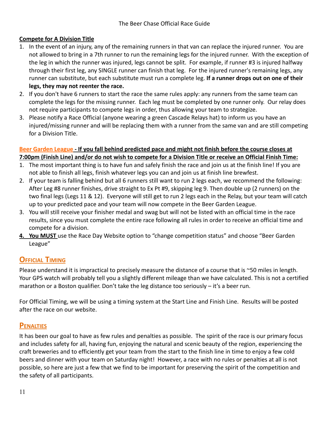#### **Compete for A Division Title**

- 1. In the event of an injury, any of the remaining runners in that van can replace the injured runner. You are not allowed to bring in a 7th runner to run the remaining legs for the injured runner. With the exception of the leg in which the runner was injured, legs cannot be split. For example, if runner #3 is injured halfway through their first leg, any SINGLE runner can finish that leg. For the injured runner's remaining legs, any runner can substitute, but each substitute must run a complete leg. **If a runner drops out on one of their legs, they may not reenter the race.**
- 2. If you don't have 6 runners to start the race the same rules apply: any runners from the same team can complete the legs for the missing runner. Each leg must be completed by one runner only. Our relay does not require participants to compete legs in order, thus allowing your team to strategize.
- 3. Please notify a Race Official (anyone wearing a green Cascade Relays hat) to inform us you have an injured/missing runner and will be replacing them with a runner from the same van and are still competing for a Division Title.

#### **Beer Garden League - If you fall behind predicted pace and might not finish before the course closes at 7:00pm (Finish Line) and/or do not wish to compete for a Division Title or receive an Official Finish Time:**

- 1. The most important thing is to have fun and safely finish the race and join us at the finish line! If you are not able to finish all legs, finish whatever legs you can and join us at finish line brewfest.
- 2. If your team is falling behind but all 6 runners still want to run 2 legs each, we recommend the following: After Leg #8 runner finishes, drive straight to Ex Pt #9, skipping leg 9. Then double up (2 runners) on the two final legs (Legs 11 & 12). Everyone will still get to run 2 legs each in the Relay, but your team will catch up to your predicted pace and your team will now compete in the Beer Garden League.
- 3. You will still receive your finisher medal and swag but will not be listed with an official time in the race results, since you must complete the entire race following all rules in order to receive an official time and compete for a division.
- **4. You MUST** use the Race Day Website option to "change competition status" and choose "Beer Garden League"

#### <span id="page-10-0"></span>**OFFICIAL TIMING**

Please understand it is impractical to precisely measure the distance of a course that is ~50 miles in length. Your GPS watch will probably tell you a slightly different mileage than we have calculated. This is not a certified marathon or a Boston qualifier. Don't take the leg distance too seriously – it's a beer run.

For Official Timing, we will be using a timing system at the Start Line and Finish Line. Results will be posted after the race on our website.

#### <span id="page-10-1"></span>**PENALTIES**

It has been our goal to have as few rules and penalties as possible. The spirit of the race is our primary focus and includes safety for all, having fun, enjoying the natural and scenic beauty of the region, experiencing the craft breweries and to efficiently get your team from the start to the finish line in time to enjoy a few cold beers and dinner with your team on Saturday night! However, a race with no rules or penalties at all is not possible, so here are just a few that we find to be important for preserving the spirit of the competition and the safety of all participants.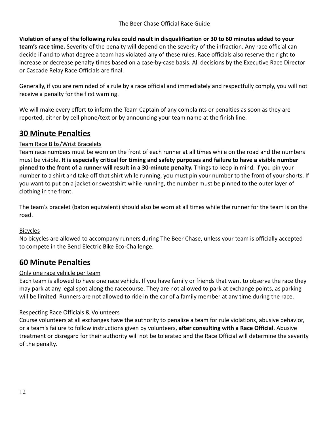**Violation of any of the following rules could result in disqualification or 30 to 60 minutes added to your team's race time.** Severity of the penalty will depend on the severity of the infraction. Any race official can decide if and to what degree a team has violated any of these rules. Race officials also reserve the right to increase or decrease penalty times based on a case-by-case basis. All decisions by the Executive Race Director or Cascade Relay Race Officials are final.

Generally, if you are reminded of a rule by a race official and immediately and respectfully comply, you will not receive a penalty for the first warning.

We will make every effort to inform the Team Captain of any complaints or penalties as soon as they are reported, either by cell phone/text or by announcing your team name at the finish line.

#### <span id="page-11-0"></span>**30 Minute Penalties**

#### Team Race Bibs/Wrist Bracelets

Team race numbers must be worn on the front of each runner at all times while on the road and the numbers must be visible. **It is especially critical for timing and safety purposes and failure to have a visible number pinned to the front of a runner will result in a 30-minute penalty.** Things to keep in mind: if you pin your number to a shirt and take off that shirt while running, you must pin your number to the front of your shorts. If you want to put on a jacket or sweatshirt while running, the number must be pinned to the outer layer of clothing in the front.

The team's bracelet (baton equivalent) should also be worn at all times while the runner for the team is on the road.

#### **Bicycles**

No bicycles are allowed to accompany runners during The Beer Chase, unless your team is officially accepted to compete in the Bend Electric Bike Eco-Challenge.

#### <span id="page-11-1"></span>**60 Minute Penalties**

#### Only one race vehicle per team

Each team is allowed to have one race vehicle. If you have family or friends that want to observe the race they may park at any legal spot along the racecourse. They are not allowed to park at exchange points, as parking will be limited. Runners are not allowed to ride in the car of a family member at any time during the race.

#### Respecting Race Officials & Volunteers

Course volunteers at all exchanges have the authority to penalize a team for rule violations, abusive behavior, or a team's failure to follow instructions given by volunteers, **after consulting with a Race Official**. Abusive treatment or disregard for their authority will not be tolerated and the Race Official will determine the severity of the penalty.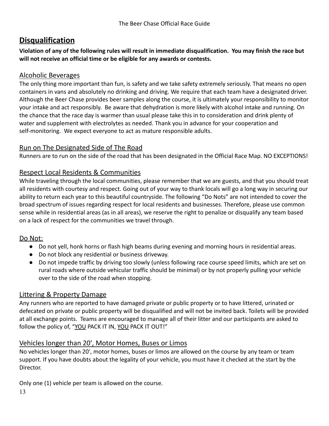#### <span id="page-12-0"></span>**Disqualification**

**Violation of any of the following rules will result in immediate disqualification. You may finish the race but will not receive an official time or be eligible for any awards or contests.**

#### Alcoholic Beverages

The only thing more important than fun, is safety and we take safety extremely seriously. That means no open containers in vans and absolutely no drinking and driving. We require that each team have a designated driver. Although the Beer Chase provides beer samples along the course, it is ultimately your responsibility to monitor your intake and act responsibly. Be aware that dehydration is more likely with alcohol intake and running. On the chance that the race day is warmer than usual please take this in to consideration and drink plenty of water and supplement with electrolytes as needed. Thank you in advance for your cooperation and self-monitoring. We expect everyone to act as mature responsible adults.

#### Run on The Designated Side of The Road

Runners are to run on the side of the road that has been designated in the Official Race Map. NO EXCEPTIONS!

#### Respect Local Residents & Communities

While traveling through the local communities, please remember that we are guests, and that you should treat all residents with courtesy and respect. Going out of your way to thank locals will go a long way in securing our ability to return each year to this beautiful countryside. The following "Do Nots" are not intended to cover the broad spectrum of issues regarding respect for local residents and businesses. Therefore, please use common sense while in residential areas (as in all areas), we reserve the right to penalize or disqualify any team based on a lack of respect for the communities we travel through.

#### Do Not:

- Do not yell, honk horns or flash high beams during evening and morning hours in residential areas.
- Do not block any residential or business driveway.
- Do not impede traffic by driving too slowly (unless following race course speed limits, which are set on rural roads where outside vehicular traffic should be minimal) or by not properly pulling your vehicle over to the side of the road when stopping.

#### Littering & Property Damage

Any runners who are reported to have damaged private or public property or to have littered, urinated or defecated on private or public property will be disqualified and will not be invited back. Toilets will be provided at all exchange points. Teams are encouraged to manage all of their litter and our participants are asked to follow the policy of, "YOU PACK IT IN, YOU PACK IT OUT!"

#### Vehicles longer than 20', Motor Homes, Buses or Limos

No vehicles longer than 20', motor homes, buses or limos are allowed on the course by any team or team support. If you have doubts about the legality of your vehicle, you must have it checked at the start by the Director.

Only one (1) vehicle per team is allowed on the course.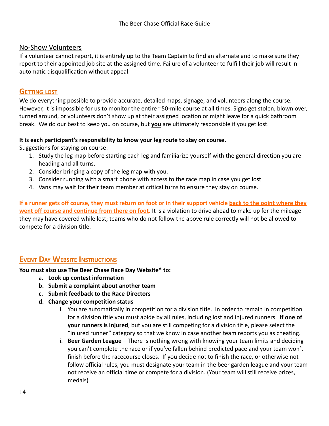#### No-Show Volunteers

If a volunteer cannot report, it is entirely up to the Team Captain to find an alternate and to make sure they report to their appointed job site at the assigned time. Failure of a volunteer to fulfill their job will result in automatic disqualification without appeal.

#### **GETTING LOST**

We do everything possible to provide accurate, detailed maps, signage, and volunteers along the course. However, it is impossible for us to monitor the entire ~50-mile course at all times. Signs get stolen, blown over, turned around, or volunteers don't show up at their assigned location or might leave for a quick bathroom break. We do our best to keep you on course, but **you** are ultimately responsible if you get lost.

#### **It is each participant's responsibility to know your leg route to stay on course.**

Suggestions for staying on course:

- 1. Study the leg map before starting each leg and familiarize yourself with the general direction you are heading and all turns.
- 2. Consider bringing a copy of the leg map with you.
- 3. Consider running with a smart phone with access to the race map in case you get lost.
- 4. Vans may wait for their team member at critical turns to ensure they stay on course.

**If a runner gets off course, they must return on foot or in their support vehicle back to the point where they went off course and continue from there on foot.** It is a violation to drive ahead to make up for the mileage they may have covered while lost; teams who do not follow the above rule correctly will not be allowed to compete for a division title.

#### <span id="page-13-0"></span>**EVENT DAY WEBSITE INSTRUCTIONS**

**You must also use The Beer Chase Race Day Website\* to:**

- a. **Look up contest information**
- **b. Submit a complaint about another team**
- **c. Submit feedback to the Race Directors**
- **d. Change your competition status**
	- i. You are automatically in competition for a division title. In order to remain in competition for a division title you must abide by all rules, including lost and injured runners. **If one of your runners is injured**, but you are still competing for a division title, please select the "injured runner" category so that we know in case another team reports you as cheating.
	- ii. **Beer Garden League** There is nothing wrong with knowing your team limits and deciding you can't complete the race or if you've fallen behind predicted pace and your team won't finish before the racecourse closes. If you decide not to finish the race, or otherwise not follow official rules, you must designate your team in the beer garden league and your team not receive an official time or compete for a division. (Your team will still receive prizes, medals)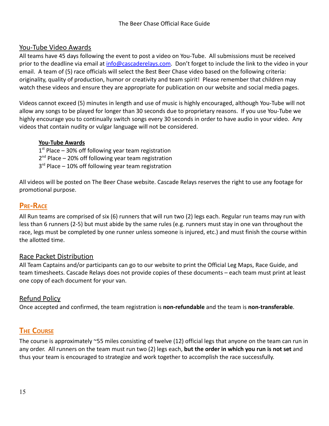#### You-Tube Video Awards

All teams have 45 days following the event to post a video on You-Tube. All submissions must be received prior to the deadline via email at [info@cascaderelays.com.](mailto:info@cascaderelays.com) Don't forget to include the link to the video in your email. A team of (5) race officials will select the Best Beer Chase video based on the following criteria: originality, quality of production, humor or creativity and team spirit! Please remember that children may watch these videos and ensure they are appropriate for publication on our website and social media pages.

Videos cannot exceed (5) minutes in length and use of music is highly encouraged, although You-Tube will not allow any songs to be played for longer than 30 seconds due to proprietary reasons. If you use You-Tube we highly encourage you to continually switch songs every 30 seconds in order to have audio in your video. Any videos that contain nudity or vulgar language will not be considered.

#### **You-Tube Awards**

1<sup>st</sup> Place – 30% off following year team registration

- 2<sup>nd</sup> Place 20% off following year team registration
- 3<sup>rd</sup> Place 10% off following year team registration

All videos will be posted on The Beer Chase website. Cascade Relays reserves the right to use any footage for promotional purpose.

#### <span id="page-14-0"></span>**PRE-RACE**

All Run teams are comprised of six (6) runners that will run two (2) legs each. Regular run teams may run with less than 6 runners (2-5) but must abide by the same rules (e.g. runners must stay in one van throughout the race, legs must be completed by one runner unless someone is injured, etc.) and must finish the course within the allotted time.

#### Race Packet Distribution

All Team Captains and/or participants can go to our website to print the Official Leg Maps, Race Guide, and team timesheets. Cascade Relays does not provide copies of these documents – each team must print at least one copy of each document for your van.

#### Refund Policy

Once accepted and confirmed, the team registration is **non-refundable** and the team is **non-transferable**.

#### <span id="page-14-1"></span>**THE COURSE**

The course is approximately ~55 miles consisting of twelve (12) official legs that anyone on the team can run in any order. All runners on the team must run two (2) legs each, **but the order in which you run is not set** and thus your team is encouraged to strategize and work together to accomplish the race successfully.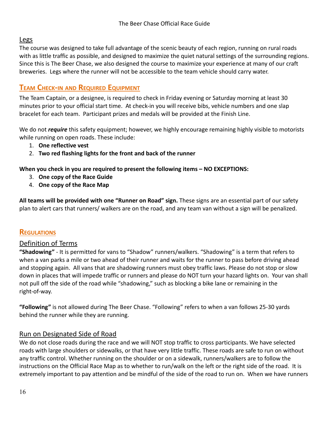#### Legs

The course was designed to take full advantage of the scenic beauty of each region, running on rural roads with as little traffic as possible, and designed to maximize the quiet natural settings of the surrounding regions. Since this is The Beer Chase, we also designed the course to maximize your experience at many of our craft breweries. Legs where the runner will not be accessible to the team vehicle should carry water.

#### <span id="page-15-0"></span>**TEAM CHECK-IN AND REQUIRED EQUIPMENT**

The Team Captain, or a designee, is required to check in Friday evening or Saturday morning at least 30 minutes prior to your official start time. At check-in you will receive bibs, vehicle numbers and one slap bracelet for each team. Participant prizes and medals will be provided at the Finish Line.

We do not *require* this safety equipment; however, we highly encourage remaining highly visible to motorists while running on open roads. These include:

- 1. **One reflective vest**
- 2. **Two red flashing lights for the front and back of the runner**

#### **When you check in you are required to present the following items – NO EXCEPTIONS:**

- 3. **One copy of the Race Guide**
- 4. **One copy of the Race Map**

**All teams will be provided with one "Runner on Road" sign.** These signs are an essential part of our safety plan to alert cars that runners/ walkers are on the road, and any team van without a sign will be penalized.

#### **REGULATIONS**

#### Definition of Terms

**"Shadowing"** - It is permitted for vans to "Shadow" runners/walkers. "Shadowing" is a term that refers to when a van parks a mile or two ahead of their runner and waits for the runner to pass before driving ahead and stopping again. All vans that are shadowing runners must obey traffic laws. Please do not stop or slow down in places that will impede traffic or runners and please do NOT turn your hazard lights on. Your van shall not pull off the side of the road while "shadowing," such as blocking a bike lane or remaining in the right-of-way.

**"Following"** is not allowed during The Beer Chase. "Following" refers to when a van follows 25-30 yards behind the runner while they are running.

#### Run on Designated Side of Road

We do not close roads during the race and we will NOT stop traffic to cross participants. We have selected roads with large shoulders or sidewalks, or that have very little traffic. These roads are safe to run on without any traffic control. Whether running on the shoulder or on a sidewalk, runners/walkers are to follow the instructions on the Official Race Map as to whether to run/walk on the left or the right side of the road. It is extremely important to pay attention and be mindful of the side of the road to run on. When we have runners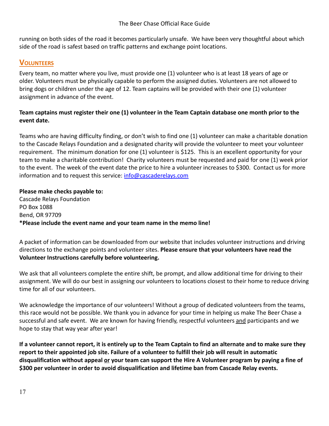running on both sides of the road it becomes particularly unsafe. We have been very thoughtful about which side of the road is safest based on traffic patterns and exchange point locations.

#### <span id="page-16-0"></span>**VOLUNTEERS**

Every team, no matter where you live, must provide one (1) volunteer who is at least 18 years of age or older. Volunteers must be physically capable to perform the assigned duties. Volunteers are not allowed to bring dogs or children under the age of 12. Team captains will be provided with their one (1) volunteer assignment in advance of the event.

#### **Team captains must register their one (1) volunteer in the Team Captain database one month prior to the event date.**

Teams who are having difficulty finding, or don't wish to find one (1) volunteer can make a charitable donation to the Cascade Relays Foundation and a designated charity will provide the volunteer to meet your volunteer requirement. The minimum donation for one (1) volunteer is \$125. This is an excellent opportunity for your team to make a charitable contribution! Charity volunteers must be requested and paid for one (1) week prior to the event. The week of the event date the price to hire a volunteer increases to \$300. Contact us for more information and to request this service: [info@cascaderelays.com](mailto:info@cascaderelays.com)

#### **Please make checks payable to:** Cascade Relays Foundation PO Box 1088 Bend, OR 97709 **\*Please include the event name and your team name in the memo line!**

A packet of information can be downloaded from our website that includes volunteer instructions and driving directions to the exchange points and volunteer sites. **Please ensure that your volunteers have read the Volunteer Instructions carefully before volunteering.**

We ask that all volunteers complete the entire shift, be prompt, and allow additional time for driving to their assignment. We will do our best in assigning our volunteers to locations closest to their home to reduce driving time for all of our volunteers.

We acknowledge the importance of our volunteers! Without a group of dedicated volunteers from the teams, this race would not be possible. We thank you in advance for your time in helping us make The Beer Chase a successful and safe event. We are known for having friendly, respectful volunteers and participants and we hope to stay that way year after year!

**If a volunteer cannot report, it is entirely up to the Team Captain to find an alternate and to make sure they report to their appointed job site. Failure of a volunteer to fulfill their job will result in automatic disqualification without appeal or your team can support the Hire A Volunteer program by paying a fine of \$300 per volunteer in order to avoid disqualification and lifetime ban from Cascade Relay events.**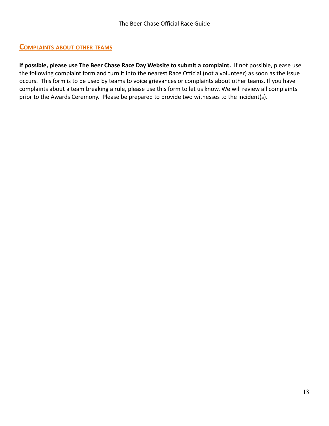#### <span id="page-17-0"></span>**COMPLAINTS ABOUT OTHER TEAMS**

**If possible, please use The Beer Chase Race Day Website to submit a complaint.** If not possible, please use the following complaint form and turn it into the nearest Race Official (not a volunteer) as soon as the issue occurs. This form is to be used by teams to voice grievances or complaints about other teams. If you have complaints about a team breaking a rule, please use this form to let us know. We will review all complaints prior to the Awards Ceremony. Please be prepared to provide two witnesses to the incident(s).